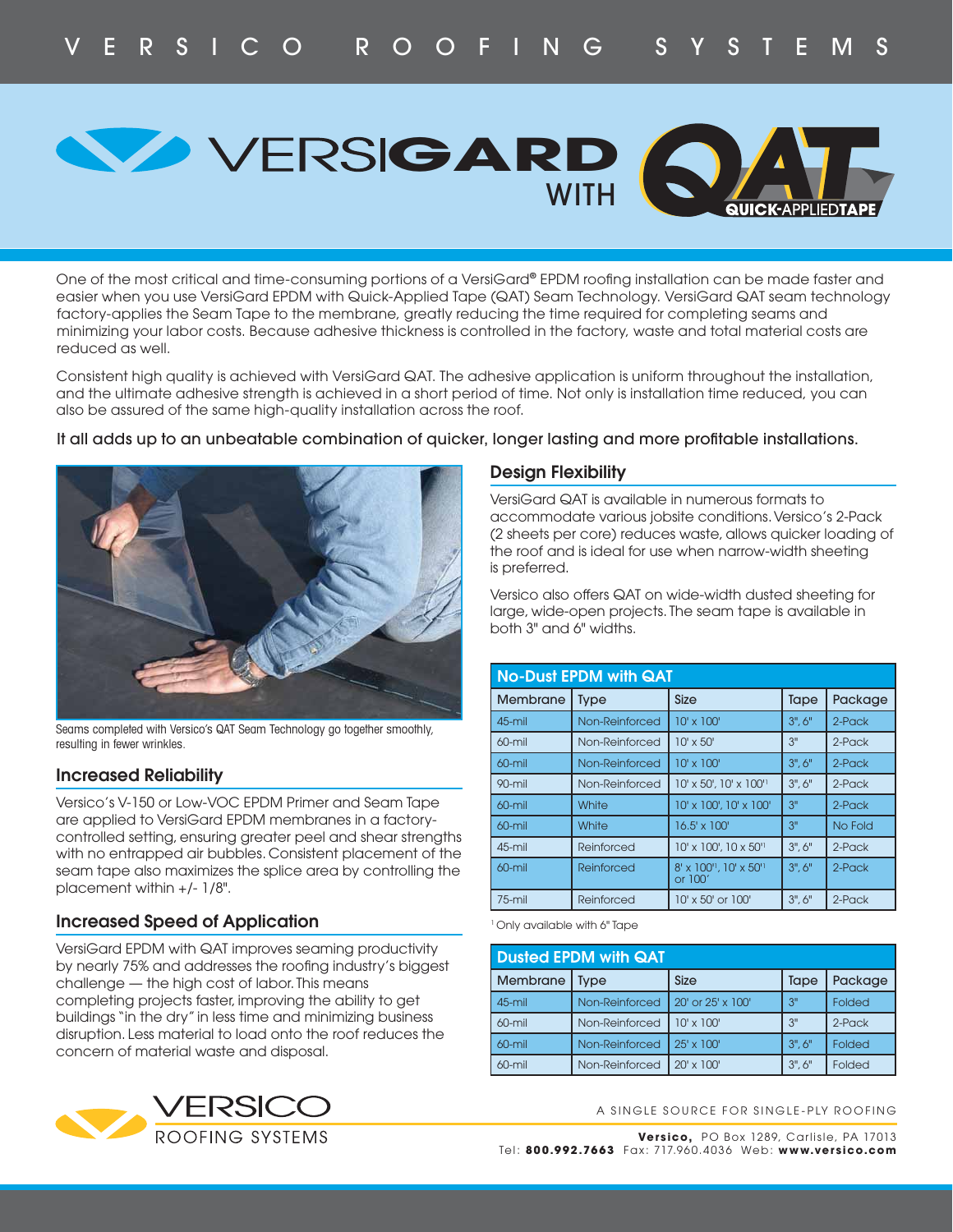WITH **GARD** 

One of the most critical and time-consuming portions of a VersiGard® EPDM roofing installation can be made faster and easier when you use VersiGard EPDM with Quick-Applied Tape (QAT) Seam Technology. VersiGard QAT seam technology factory-applies the Seam Tape to the membrane, greatly reducing the time required for completing seams and minimizing your labor costs. Because adhesive thickness is controlled in the factory, waste and total material costs are reduced as well.

Consistent high quality is achieved with VersiGard QAT. The adhesive application is uniform throughout the installation, and the ultimate adhesive strength is achieved in a short period of time. Not only is installation time reduced, you can also be assured of the same high-quality installation across the roof.

#### It all adds up to an unbeatable combination of quicker, longer lasting and more profitable installations.



Seams completed with Versico's QAT Seam Technology go together smoothly, resulting in fewer wrinkles.

## **Increased Reliability**

Versico's V-150 or Low-VOC EPDM Primer and Seam Tape are applied to VersiGard EPDM membranes in a factorycontrolled setting, ensuring greater peel and shear strengths with no entrapped air bubbles. Consistent placement of the seam tape also maximizes the splice area by controlling the placement within +/- 1/8".

## **Increased Speed of Application**

VersiGard EPDM with QAT improves seaming productivity by nearly 75% and addresses the roofing industry's biggest challenge — the high cost of labor. This means completing projects faster, improving the ability to get buildings "in the dry" in less time and minimizing business disruption. Less material to load onto the roof reduces the concern of material waste and disposal.



#### **Design Flexibility**

VersiGard QAT is available in numerous formats to accommodate various jobsite conditions. Versico's 2-Pack (2 sheets per core) reduces waste, allows quicker loading of the roof and is ideal for use when narrow-width sheeting is preferred.

Versico also offers QAT on wide-width dusted sheeting for large, wide-open projects. The seam tape is available in both 3" and 6" widths.

| <b>No-Dust EPDM with QAT</b> |                |                                     |        |           |  |
|------------------------------|----------------|-------------------------------------|--------|-----------|--|
| Membrane                     | <b>Type</b>    | <b>Size</b>                         | Tape   | Package   |  |
| $45$ -mil                    | Non-Reinforced | $10' \times 100'$                   | 3", 6" | $2$ -Pack |  |
| $60$ -mil                    | Non-Reinforced | $10' \times 50'$                    | 3"     | 2-Pack    |  |
| $60$ -mil                    | Non-Reinforced | $10' \times 100'$                   | 3", 6" | $2$ -Pack |  |
| 90-mil                       | Non-Reinforced | 10' x 50', 10' x 100''              | 3", 6" | $2$ -Pack |  |
| 60-mil                       | White          | 10' x 100', 10' x 100'              | 3"     | $2$ -Pack |  |
| $60$ -mil                    | White          | 16.5' x 100'                        | 3"     | No Fold   |  |
| 45-mil                       | Reinforced     | $10' \times 100'$ , $10 \times 50'$ | 3", 6" | $2$ -Pack |  |
| $60$ -mil                    | Reinforced     | 8' x 100", 10' x 50"<br>or $100'$   | 3", 6" | $2$ -Pack |  |
| $75 - mi$                    | Reinforced     | 10' x 50' or 100'                   | 3", 6" | $2$ -Pack |  |

1 Only available with 6" Tape

| <b>Dusted EPDM with QAT</b> |                |                   |             |           |  |  |
|-----------------------------|----------------|-------------------|-------------|-----------|--|--|
| Membrane                    | Type           | Size              | Tape        | Package   |  |  |
| $45$ -mil                   | Non-Reinforced | 20' or 25' x 100' | 3"          | Folded    |  |  |
| $60$ -mil                   | Non-Reinforced | $10' \times 100'$ | 3"          | $2$ -Pack |  |  |
| $60$ -mil                   | Non-Reinforced | $25' \times 100'$ | $3"$ , $6"$ | Folded    |  |  |
| $60$ -mil                   | Non-Reinforced | $20' \times 100'$ | 3", 6"      | Folded    |  |  |

A SINGLE SOURCE FOR SINGLE-PLY ROOFING